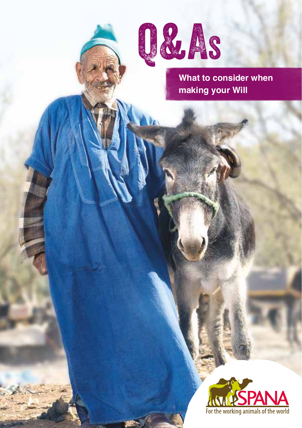

**What to consider when making your Will**

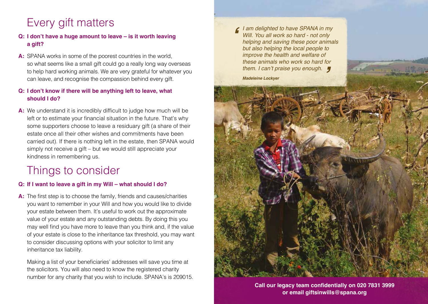# Every gift matters

### **Q: I don't have a huge amount to leave – is it worth leaving a gift?**

**A:** SPANA works in some of the poorest countries in the world, so what seems like a small gift could go a really long way overseas to help hard working animals. We are very grateful for whatever you can leave, and recognise the compassion behind every gift.

### **Q: I don't know if there will be anything left to leave, what should I do?**

**A:** We understand it is incredibly difficult to judge how much will be left or to estimate your financial situation in the future. That's why some supporters choose to leave a residuary gift (a share of their estate once all their other wishes and commitments have been carried out). If there is nothing left in the estate, then SPANA would simply not receive a gift – but we would still appreciate your kindness in remembering us.

## Things to consider

#### **Q: If I want to leave a gift in my Will – what should I do?**

**A:** The first step is to choose the family, friends and causes/charities you want to remember in your Will and how you would like to divide your estate between them. It's useful to work out the approximate value of your estate and any outstanding debts. By doing this you may well find you have more to leave than you think and, if the value of your estate is close to the inheritance tax threshold, you may want to consider discussing options with your solicitor to limit any inheritance tax liability.

Making a list of your beneficiaries' addresses will save you time at the solicitors. You will also need to know the registered charity number for any charity that you wish to include. SPANA's is 209015.

*I am delighted to have SPANA in my Will. You all work so hard - not only helping and saving these poor animals but also helping the local people to improve the health and welfare of these animals who work so hard for*  **'**

*Madeleine Lockyer*



**Call our legacy team confidentially on 020 7831 3999 or email giftsinwills@spana.org**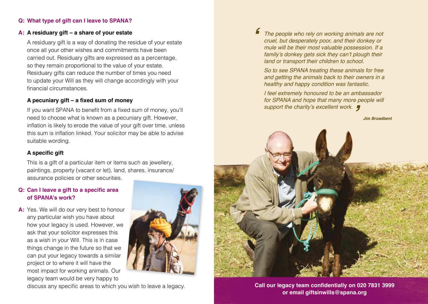#### **Q: What type of gift can I leave to SPANA?**

#### **A: A residuary gift – a share of your estate**

 A residuary gift is a way of donating the residue of your estate once all your other wishes and commitments have been carried out. Residuary gifts are expressed as a percentage, so they remain proportional to the value of your estate. Residuary gifts can reduce the number of times you need to update your Will as they will change accordingly with your financial circumstances.

#### **A pecuniary gift – a fixed sum of money**

If you want SPANA to benefit from a fixed sum of money, you'll need to choose what is known as a pecuniary gift. However, inflation is likely to erode the value of your gift over time, unless this sum is inflation linked. Your solicitor may be able to advise suitable wording.

#### **A specific gift**

This is a gift of a particular item or items such as jewellery, paintings, property (vacant or let), land, shares, insurance/ assurance policies or other securities.

#### **Q: Can I leave a gift to a specific area of SPANA's work?**

**A:** Yes. We will do our very best to honour any particular wish you have about how your legacy is used. However, we ask that your solicitor expresses this as a wish in your Will. This is in case things change in the future so that we can put your legacy towards a similar project or to where it will have the most impact for working animals. Our legacy team would be very happy to



discuss any specific areas to which you wish to leave a legacy.

**'** *The people who rely on working animals are not cruel, but desperately poor, and their donkey or mule will be their most valuable possession. If a*  family's donkey gets sick they can't plough their *land or transport their children to school.* 

*So to see SPANA treating these animals for free and getting the animals back to their owners in a healthy and happy condition was fantastic.*

*I feel extremely honoured to be an ambassador for SPANA and hope that many more people will* 

*Jim Broadbent*



**Call our legacy team confidentially on 020 7831 3999 or email giftsinwills@spana.org**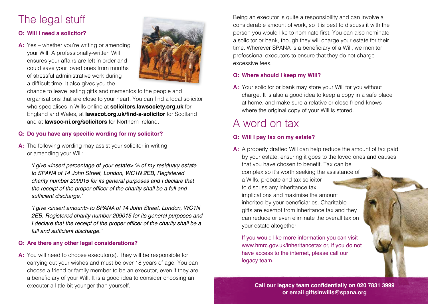# The legal stuff

### **Q: Will I need a solicitor?**

**A:** Yes – whether you're writing or amending your Will. A professionally-written Will ensures your affairs are left in order and could save your loved ones from months of stressful administrative work during a difficult time. It also gives you the



chance to leave lasting gifts and mementos to the people and organisations that are close to your heart. You can find a local solicitor who specialises in Wills online at **solicitors.lawsociety.org.uk** for England and Wales, at **lawscot.org.uk/find-a-solicitor** for Scotland and at **lawsoc-ni.org/solicitors** for Northern Ireland.

#### **Q: Do you have any specific wording for my solicitor?**

**A:** The following wording may assist your solicitor in writing or amending your Will:

'I give <insert percentage of your estate> % of my residuary estate *to SPANA of 14 John Street, London, WC1N 2EB, Registered charity number 209015 for its general purposes and I declare that*  the receipt of the proper officer of the charity shall be a full and sufficient discharge.'

'I give <insert amount> to SPANA of 14 John Street, London, WC1N *2EB, Registered charity number 209015 for its general purposes and*  I declare that the receipt of the proper officer of the charity shall be a full and sufficient discharge.'

#### **Q: Are there any other legal considerations?**

**A:** You will need to choose executor(s). They will be responsible for carrying out your wishes and must be over 18 years of age. You can choose a friend or family member to be an executor, even if they are a beneficiary of your Will. It is a good idea to consider choosing an executor a little bit younger than yourself.

Being an executor is quite a responsibility and can involve a considerable amount of work, so it is best to discuss it with the person you would like to nominate first. You can also nominate a solicitor or bank, though they will charge your estate for their time. Wherever SPANA is a beneficiary of a Will, we monitor professional executors to ensure that they do not charge excessive fees.

#### **Q: Where should I keep my Will?**

**A:** Your solicitor or bank may store your Will for you without charge. It is also a good idea to keep a copy in a safe place at home, and make sure a relative or close friend knows where the original copy of your Will is stored.

# A word on tax

### **Q: Will I pay tax on my estate?**

**A:** A properly drafted Will can help reduce the amount of tax paid by your estate, ensuring it goes to the loved ones and causes that you have chosen to benefit. Tax can be complex so it's worth seeking the assistance of a Wills, probate and tax solicitor to discuss any inheritance tax implications and maximise the amount inherited by your beneficiaries. Charitable gifts are exempt from inheritance tax and they can reduce or even eliminate the overall tax on your estate altogether.

If you would like more information you can visit www.hmrc.gov.uk/inheritancetax or, if you do not have access to the internet, please call our legacy team.

> **Call our legacy team confidentially on 020 7831 3999 or email giftsinwills@spana.org**